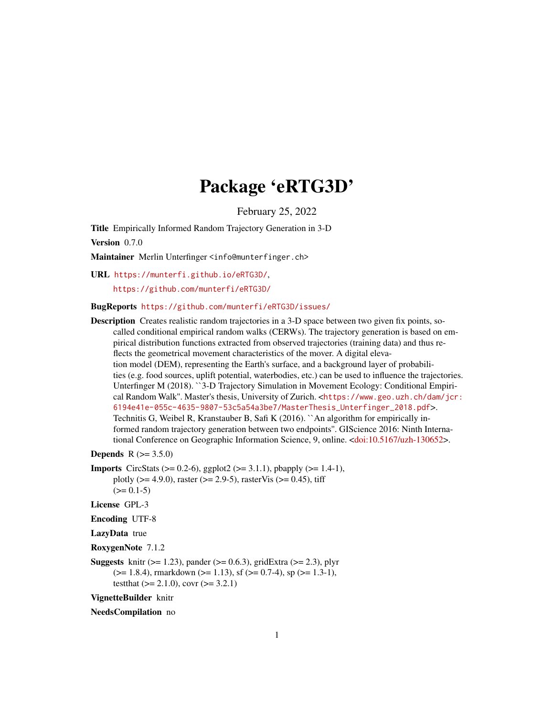# Package 'eRTG3D'

February 25, 2022

<span id="page-0-0"></span>Title Empirically Informed Random Trajectory Generation in 3-D

Version 0.7.0

Maintainer Merlin Unterfinger <info@munterfinger.ch>

URL <https://munterfi.github.io/eRTG3D/>, <https://github.com/munterfi/eRTG3D/>

#### BugReports <https://github.com/munterfi/eRTG3D/issues/>

Description Creates realistic random trajectories in a 3-D space between two given fix points, socalled conditional empirical random walks (CERWs). The trajectory generation is based on empirical distribution functions extracted from observed trajectories (training data) and thus reflects the geometrical movement characteristics of the mover. A digital elevation model (DEM), representing the Earth's surface, and a background layer of probabilities (e.g. food sources, uplift potential, waterbodies, etc.) can be used to influence the trajectories. Unterfinger M (2018). ``3-D Trajectory Simulation in Movement Ecology: Conditional Empirical Random Walk''. Master's thesis, University of Zurich. <[https://www.geo.uzh.ch/dam/jcr:](https://www.geo.uzh.ch/dam/jcr:6194e41e-055c-4635-9807-53c5a54a3be7/MasterThesis_Unterfinger_2018.pdf) [6194e41e-055c-4635-9807-53c5a54a3be7/MasterThesis\\_Unterfinger\\_2018.pdf](https://www.geo.uzh.ch/dam/jcr:6194e41e-055c-4635-9807-53c5a54a3be7/MasterThesis_Unterfinger_2018.pdf)>. Technitis G, Weibel R, Kranstauber B, Safi K (2016). ``An algorithm for empirically informed random trajectory generation between two endpoints''. GIScience 2016: Ninth International Conference on Geographic Information Science, 9, online. [<doi:10.5167/uzh-130652>](https://doi.org/10.5167/uzh-130652).

**Depends**  $R (= 3.5.0)$ 

Imports CircStats (>= 0.2-6), ggplot2 (>= 3.1.1), pbapply (>= 1.4-1), plotly ( $>= 4.9.0$ ), raster ( $>= 2.9-5$ ), rasterVis ( $>= 0.45$ ), tiff  $(>= 0.1 - 5)$ 

License GPL-3

Encoding UTF-8

LazyData true

RoxygenNote 7.1.2

**Suggests** knitr ( $>= 1.23$ ), pander ( $>= 0.6.3$ ), gridExtra ( $>= 2.3$ ), plyr  $(>= 1.8.4)$ , rmarkdown  $(>= 1.13)$ , sf  $(>= 0.7-4)$ , sp  $(>= 1.3-1)$ , testthat  $(>= 2.1.0)$ , covr  $(>= 3.2.1)$ 

VignetteBuilder knitr

NeedsCompilation no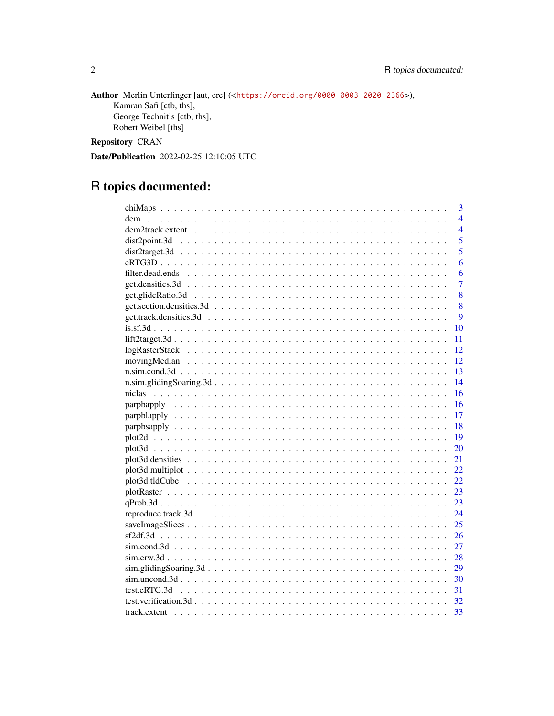Author Merlin Unterfinger [aut, cre] (<<https://orcid.org/0000-0003-2020-2366>>), Kamran Safi [ctb, ths], George Technitis [ctb, ths], Robert Weibel [ths]

Repository CRAN

Date/Publication 2022-02-25 12:10:05 UTC

# R topics documented:

|                  | 3              |
|------------------|----------------|
|                  | $\overline{4}$ |
|                  | $\overline{4}$ |
|                  | 5              |
|                  | 5              |
|                  | 6              |
|                  | 6              |
|                  | $\overline{7}$ |
|                  | 8              |
|                  | 8              |
|                  | 9              |
|                  | 10             |
| $lift2target.3d$ | 11             |
|                  | 12             |
|                  | 12             |
|                  | 13             |
|                  | 14             |
|                  | 16             |
|                  | 16             |
| $parpblapply$    | 17             |
|                  | 18             |
|                  | 19             |
|                  | 20             |
|                  | 21             |
|                  | 22             |
|                  | 22             |
|                  | 23             |
|                  | 23             |
|                  | 24             |
|                  | 25             |
|                  | 26             |
|                  | 27             |
|                  | 28             |
|                  | 29             |
|                  | 30             |
| -31              |                |
| 32               |                |
| 33               |                |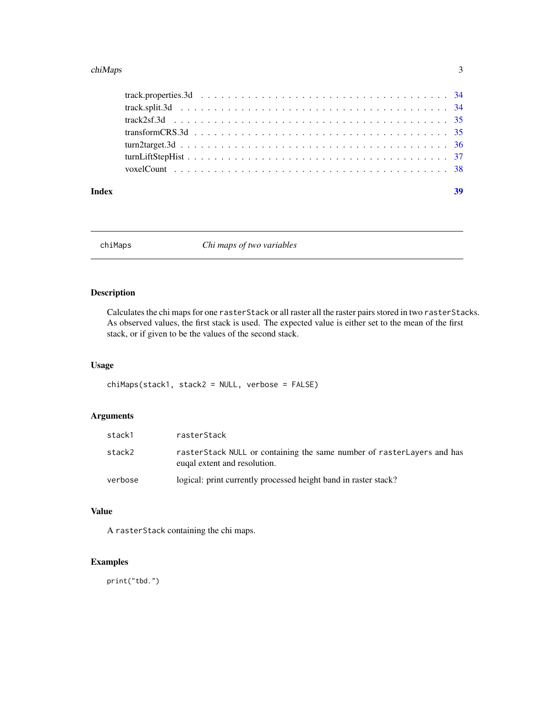#### <span id="page-2-0"></span>chiMaps 3

#### **Index** [39](#page-38-0)

chiMaps *Chi maps of two variables*

# Description

Calculates the chi maps for one rasterStack or all raster all the raster pairs stored in two rasterStacks. As observed values, the first stack is used. The expected value is either set to the mean of the first stack, or if given to be the values of the second stack.

# Usage

chiMaps(stack1, stack2 = NULL, verbose = FALSE)

# Arguments

| stack1  | rasterStack                                                                                            |
|---------|--------------------------------------------------------------------------------------------------------|
| stack2  | rasterStack NULL or containing the same number of rasterLayers and has<br>eugal extent and resolution. |
| verbose | logical: print currently processed height band in raster stack?                                        |

# Value

A rasterStack containing the chi maps.

# Examples

print("tbd.")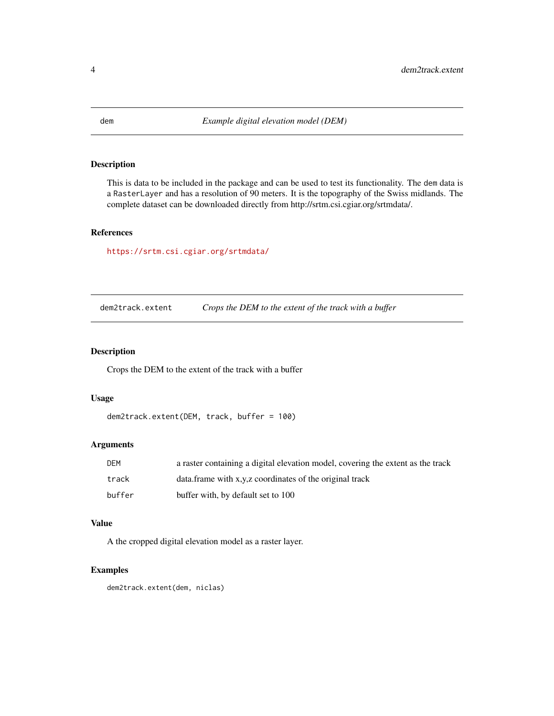<span id="page-3-0"></span>This is data to be included in the package and can be used to test its functionality. The dem data is a RasterLayer and has a resolution of 90 meters. It is the topography of the Swiss midlands. The complete dataset can be downloaded directly from http://srtm.csi.cgiar.org/srtmdata/.

#### References

<https://srtm.csi.cgiar.org/srtmdata/>

dem2track.extent *Crops the DEM to the extent of the track with a buffer*

# Description

Crops the DEM to the extent of the track with a buffer

#### Usage

```
dem2track.extent(DEM, track, buffer = 100)
```
# Arguments

| DEM    | a raster containing a digital elevation model, covering the extent as the track |
|--------|---------------------------------------------------------------------------------|
| track  | data.frame with x,y,z coordinates of the original track                         |
| buffer | buffer with, by default set to 100                                              |

#### Value

A the cropped digital elevation model as a raster layer.

#### Examples

dem2track.extent(dem, niclas)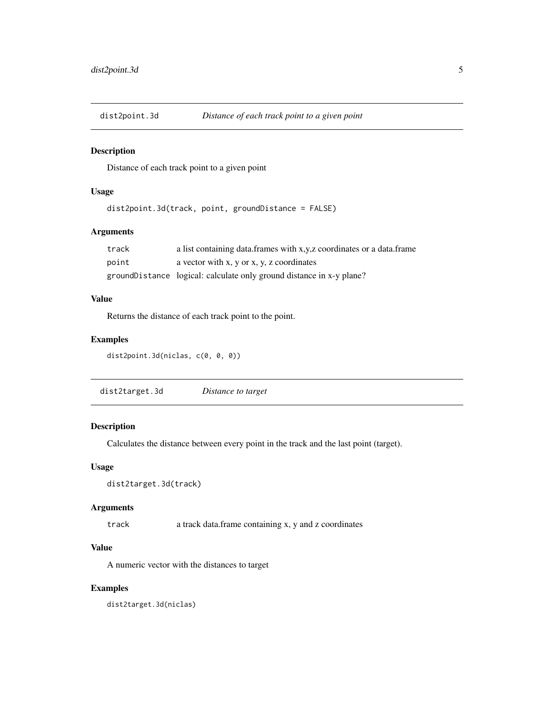<span id="page-4-0"></span>

Distance of each track point to a given point

#### Usage

dist2point.3d(track, point, groundDistance = FALSE)

# Arguments

| track | a list containing data.frames with x,y,z coordinates or a data.frame |
|-------|----------------------------------------------------------------------|
| point | a vector with x, y or x, y, z coordinates                            |
|       | groundDistance logical: calculate only ground distance in x-y plane? |

# Value

Returns the distance of each track point to the point.

#### Examples

dist2point.3d(niclas, c(0, 0, 0))

| Distance to target |
|--------------------|
|                    |

# Description

Calculates the distance between every point in the track and the last point (target).

# Usage

```
dist2target.3d(track)
```
#### Arguments

track a track data.frame containing x, y and z coordinates

# Value

A numeric vector with the distances to target

## Examples

dist2target.3d(niclas)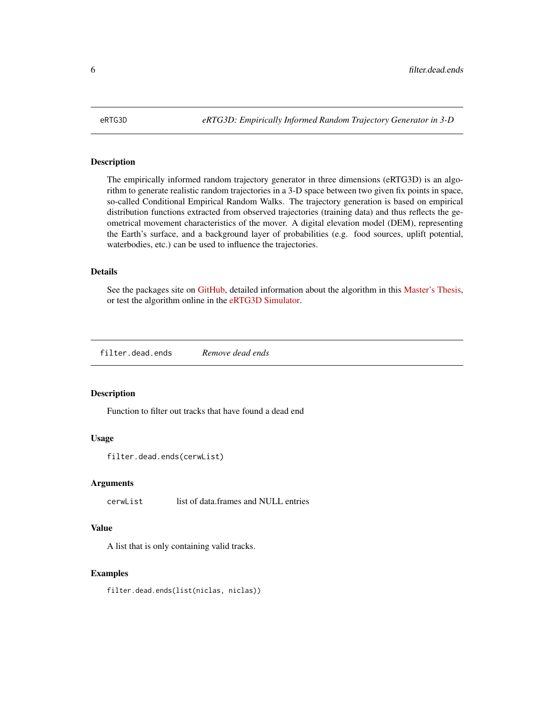<span id="page-5-0"></span>

The empirically informed random trajectory generator in three dimensions (eRTG3D) is an algorithm to generate realistic random trajectories in a 3-D space between two given fix points in space, so-called Conditional Empirical Random Walks. The trajectory generation is based on empirical distribution functions extracted from observed trajectories (training data) and thus reflects the geometrical movement characteristics of the mover. A digital elevation model (DEM), representing the Earth's surface, and a background layer of probabilities (e.g. food sources, uplift potential, waterbodies, etc.) can be used to influence the trajectories.

#### Details

See the packages site on [GitHub,](https://munterfi.github.io/eRTG3D/) detailed information about the algorithm in this [Master's Thesis,](https://www.geo.uzh.ch/dam/jcr:6194e41e-055c-4635-9807-53c5a54a3be7/MasterThesis_Unterfinger_2018.pdf) or test the algorithm online in the [eRTG3D Simulator.](https://mufi.shinyapps.io/ertg3d-simulator)

filter.dead.ends *Remove dead ends*

#### Description

Function to filter out tracks that have found a dead end

#### Usage

```
filter.dead.ends(cerwList)
```
#### Arguments

cerwList list of data.frames and NULL entries

# Value

A list that is only containing valid tracks.

#### Examples

filter.dead.ends(list(niclas, niclas))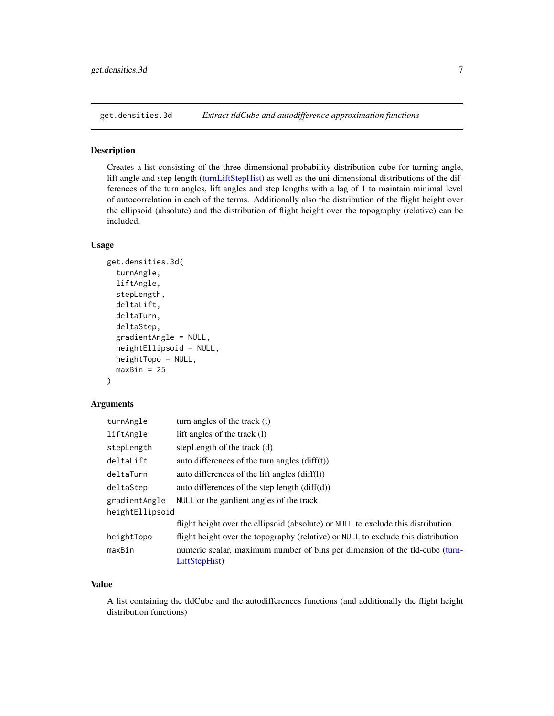<span id="page-6-1"></span><span id="page-6-0"></span>

Creates a list consisting of the three dimensional probability distribution cube for turning angle, lift angle and step length [\(turnLiftStepHist\)](#page-36-1) as well as the uni-dimensional distributions of the differences of the turn angles, lift angles and step lengths with a lag of 1 to maintain minimal level of autocorrelation in each of the terms. Additionally also the distribution of the flight height over the ellipsoid (absolute) and the distribution of flight height over the topography (relative) can be included.

#### Usage

```
get.densities.3d(
  turnAngle,
  liftAngle,
  stepLength,
  deltaLift,
  deltaTurn,
  deltaStep,
  gradientAngle = NULL,
  heightEllipsoid = NULL,
  heightTopo = NULL,
 maxBin = 25)
```
#### Arguments

| turnAngle       | turn angles of the track $(t)$                                                               |
|-----------------|----------------------------------------------------------------------------------------------|
| liftAngle       | lift angles of the track (1)                                                                 |
| stepLength      | stepLength of the track (d)                                                                  |
| deltaLift       | auto differences of the turn angles $\text{(diff(t))}$                                       |
| deltaTurn       | auto differences of the lift angles $\text{(diff(1))}$                                       |
| deltaStep       | auto differences of the step length $diff(d)$                                                |
| gradientAngle   | NULL or the gardient angles of the track                                                     |
| heightEllipsoid |                                                                                              |
|                 | flight height over the ellipsoid (absolute) or NULL to exclude this distribution             |
| heightTopo      | flight height over the topography (relative) or NULL to exclude this distribution            |
| maxBin          | numeric scalar, maximum number of bins per dimension of the tld-cube (turn-<br>LiftStepHist) |

#### Value

A list containing the tldCube and the autodifferences functions (and additionally the flight height distribution functions)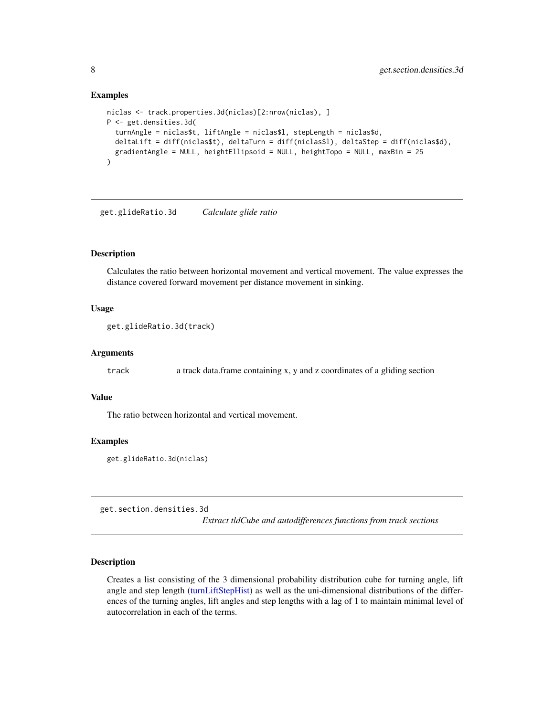#### Examples

```
niclas <- track.properties.3d(niclas)[2:nrow(niclas), ]
P <- get.densities.3d(
  turnAngle = niclas$t, liftAngle = niclas$l, stepLength = niclas$d,
  deltaLift = diff(niclas$t), deltaTurn = diff(niclas$l), deltaStep = diff(niclas$d),
  gradientAngle = NULL, heightEllipsoid = NULL, heightTopo = NULL, maxBin = 25
\lambda
```
get.glideRatio.3d *Calculate glide ratio*

# Description

Calculates the ratio between horizontal movement and vertical movement. The value expresses the distance covered forward movement per distance movement in sinking.

# Usage

```
get.glideRatio.3d(track)
```
#### Arguments

track a track data.frame containing x, y and z coordinates of a gliding section

### Value

The ratio between horizontal and vertical movement.

#### Examples

get.glideRatio.3d(niclas)

<span id="page-7-1"></span>get.section.densities.3d

*Extract tldCube and autodifferences functions from track sections*

# **Description**

Creates a list consisting of the 3 dimensional probability distribution cube for turning angle, lift angle and step length [\(turnLiftStepHist\)](#page-36-1) as well as the uni-dimensional distributions of the differences of the turning angles, lift angles and step lengths with a lag of 1 to maintain minimal level of autocorrelation in each of the terms.

<span id="page-7-0"></span>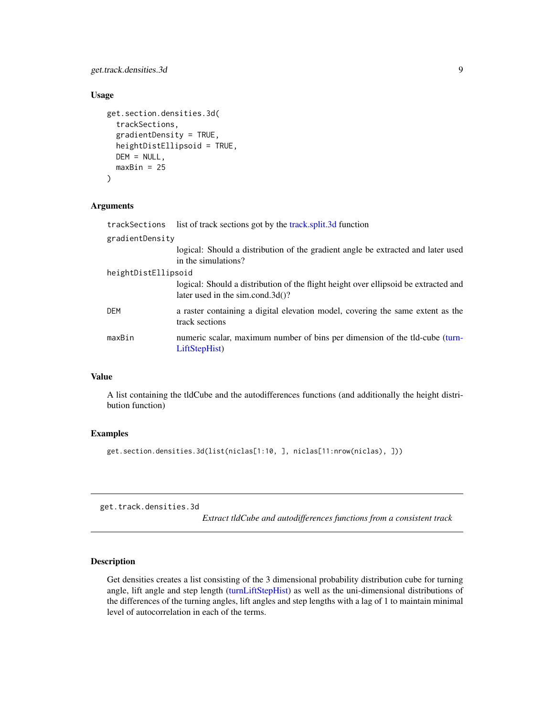<span id="page-8-0"></span>get.track.densities.3d 9

# Usage

```
get.section.densities.3d(
  trackSections,
  gradientDensity = TRUE,
  heightDistEllipsoid = TRUE,
 DEM = NULL,
  maxBin = 25)
```
# Arguments

| trackSections       | list of track sections got by the track split.3d function                                                                   |
|---------------------|-----------------------------------------------------------------------------------------------------------------------------|
| gradientDensity     |                                                                                                                             |
|                     | logical: Should a distribution of the gradient angle be extracted and later used<br>in the simulations?                     |
| heightDistEllipsoid |                                                                                                                             |
|                     | logical: Should a distribution of the flight height over ellipsoid be extracted and<br>later used in the sim.cond.3d $()$ ? |
| <b>DEM</b>          | a raster containing a digital elevation model, covering the same extent as the<br>track sections                            |
| maxBin              | numeric scalar, maximum number of bins per dimension of the tld-cube (turn-<br>LiftStepHist)                                |

#### Value

A list containing the tldCube and the autodifferences functions (and additionally the height distribution function)

# Examples

get.section.densities.3d(list(niclas[1:10, ], niclas[11:nrow(niclas), ]))

get.track.densities.3d

*Extract tldCube and autodifferences functions from a consistent track*

# Description

Get densities creates a list consisting of the 3 dimensional probability distribution cube for turning angle, lift angle and step length [\(turnLiftStepHist\)](#page-36-1) as well as the uni-dimensional distributions of the differences of the turning angles, lift angles and step lengths with a lag of 1 to maintain minimal level of autocorrelation in each of the terms.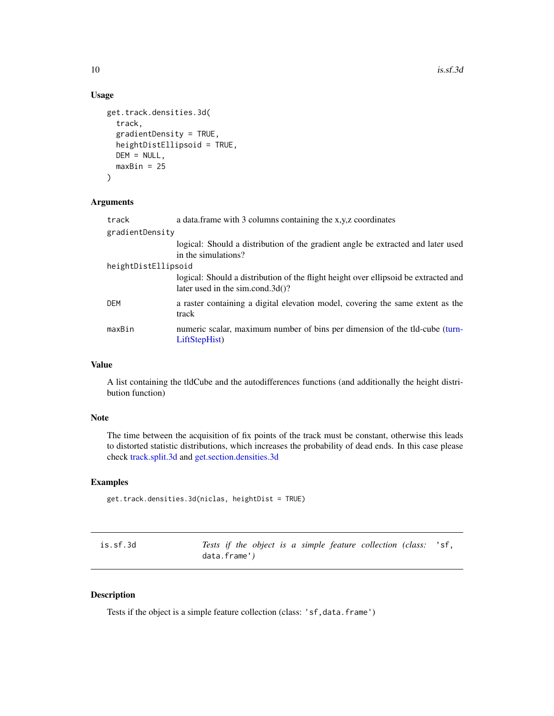# Usage

```
get.track.densities.3d(
  track,
  gradientDensity = TRUE,
 heightDistEllipsoid = TRUE,
 DEM = NULL,
 maxBin = 25)
```
#### Arguments

| track               | a data frame with 3 columns containing the x,y,z coordinates                                                                |  |  |
|---------------------|-----------------------------------------------------------------------------------------------------------------------------|--|--|
| gradientDensity     |                                                                                                                             |  |  |
|                     | logical: Should a distribution of the gradient angle be extracted and later used<br>in the simulations?                     |  |  |
| heightDistEllipsoid |                                                                                                                             |  |  |
|                     | logical: Should a distribution of the flight height over ellipsoid be extracted and<br>later used in the sim.cond.3d $()$ ? |  |  |
| DEM                 | a raster containing a digital elevation model, covering the same extent as the<br>track                                     |  |  |
| maxBin              | numeric scalar, maximum number of bins per dimension of the tld-cube (turn-<br>LiftStepHist)                                |  |  |

# Value

A list containing the tldCube and the autodifferences functions (and additionally the height distribution function)

# Note

The time between the acquisition of fix points of the track must be constant, otherwise this leads to distorted statistic distributions, which increases the probability of dead ends. In this case please check [track.split.3d](#page-33-1) and [get.section.densities.3d](#page-7-1)

# Examples

get.track.densities.3d(niclas, heightDist = TRUE)

| is.sf.3d | Tests if the object is a simple feature collection (class: 'sf, |  |  |  |  |
|----------|-----------------------------------------------------------------|--|--|--|--|
|          | data.frame')                                                    |  |  |  |  |

# Description

Tests if the object is a simple feature collection (class: 'sf,data.frame')

<span id="page-9-0"></span>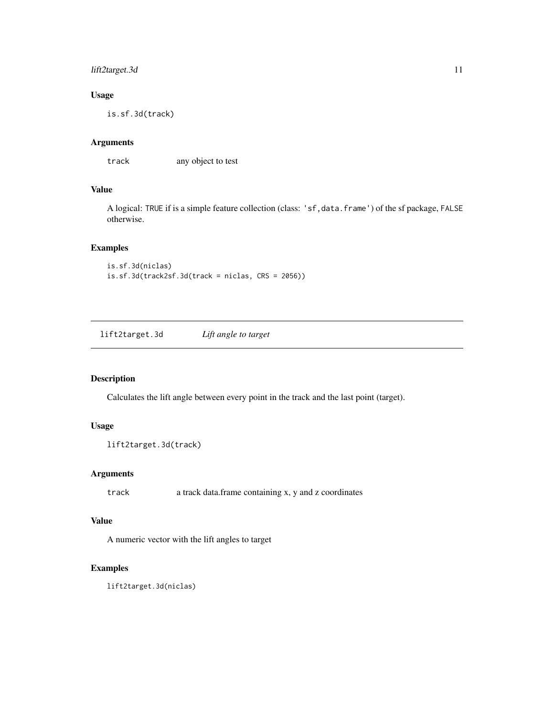# <span id="page-10-0"></span>lift2target.3d 11

# Usage

is.sf.3d(track)

# Arguments

track any object to test

# Value

A logical: TRUE if is a simple feature collection (class: 'sf,data.frame') of the sf package, FALSE otherwise.

# Examples

is.sf.3d(niclas)  $is.sf.3d(track2sf.3d(track = niclas, CRS = 2056))$ 

lift2target.3d *Lift angle to target*

# Description

Calculates the lift angle between every point in the track and the last point (target).

# Usage

```
lift2target.3d(track)
```
# Arguments

track a track data.frame containing x, y and z coordinates

#### Value

A numeric vector with the lift angles to target

# Examples

lift2target.3d(niclas)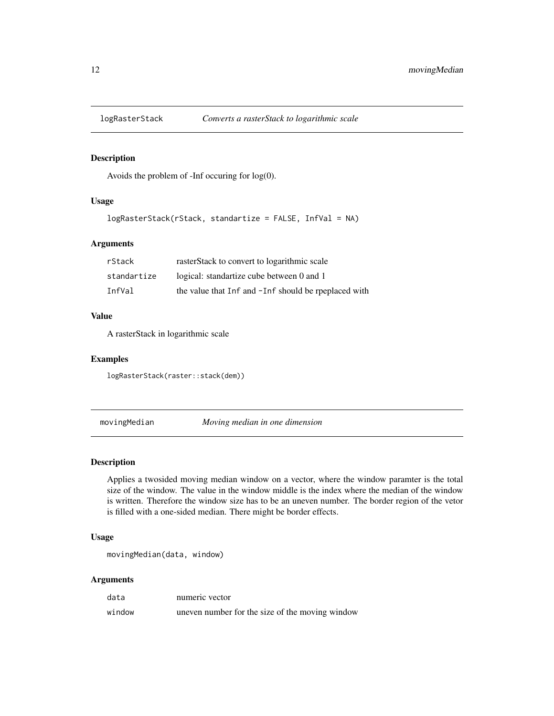<span id="page-11-0"></span>

Avoids the problem of -Inf occuring for log(0).

#### Usage

```
logRasterStack(rStack, standartize = FALSE, InfVal = NA)
```
# Arguments

| rStack      | rasterStack to convert to logarithmic scale         |
|-------------|-----------------------------------------------------|
| standartize | logical: standartize cube between 0 and 1           |
| InfVal      | the value that Inf and -Inf should be replaced with |

# Value

A rasterStack in logarithmic scale

#### Examples

logRasterStack(raster::stack(dem))

movingMedian *Moving median in one dimension*

# Description

Applies a twosided moving median window on a vector, where the window paramter is the total size of the window. The value in the window middle is the index where the median of the window is written. Therefore the window size has to be an uneven number. The border region of the vetor is filled with a one-sided median. There might be border effects.

# Usage

movingMedian(data, window)

#### Arguments

| data   | numeric vector                                  |
|--------|-------------------------------------------------|
| window | uneven number for the size of the moving window |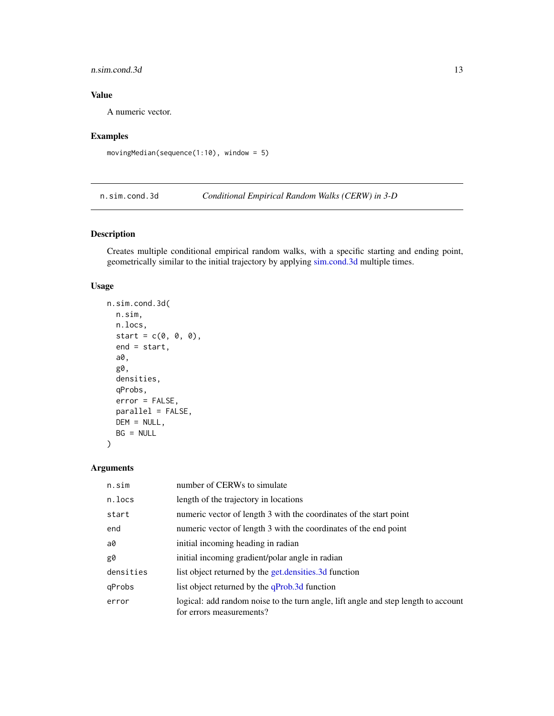# <span id="page-12-0"></span>n.sim.cond.3d 13

# Value

A numeric vector.

# Examples

```
movingMedian(sequence(1:10), window = 5)
```
<span id="page-12-1"></span>n.sim.cond.3d *Conditional Empirical Random Walks (CERW) in 3-D*

# Description

Creates multiple conditional empirical random walks, with a specific starting and ending point, geometrically similar to the initial trajectory by applying [sim.cond.3d](#page-26-1) multiple times.

#### Usage

```
n.sim.cond.3d(
  n.sim,
  n.locs,
  start = c(\emptyset, \emptyset, \emptyset),
  end = start,
  a0,
  g0,
  densities,
  qProbs,
  error = FALSE,
  parallel = FALSE,
  DEM = NULL,
  BG = NULL)
```
# Arguments

| n.sim     | number of CERWs to simulate                                                                                    |
|-----------|----------------------------------------------------------------------------------------------------------------|
| n.locs    | length of the trajectory in locations                                                                          |
| start     | numeric vector of length 3 with the coordinates of the start point                                             |
| end       | numeric vector of length 3 with the coordinates of the end point                                               |
| a0        | initial incoming heading in radian                                                                             |
| g0        | initial incoming gradient/polar angle in radian                                                                |
| densities | list object returned by the get.densities.3d function                                                          |
| qProbs    | list object returned by the qProb.3d function                                                                  |
| error     | logical: add random noise to the turn angle, lift angle and step length to account<br>for errors measurements? |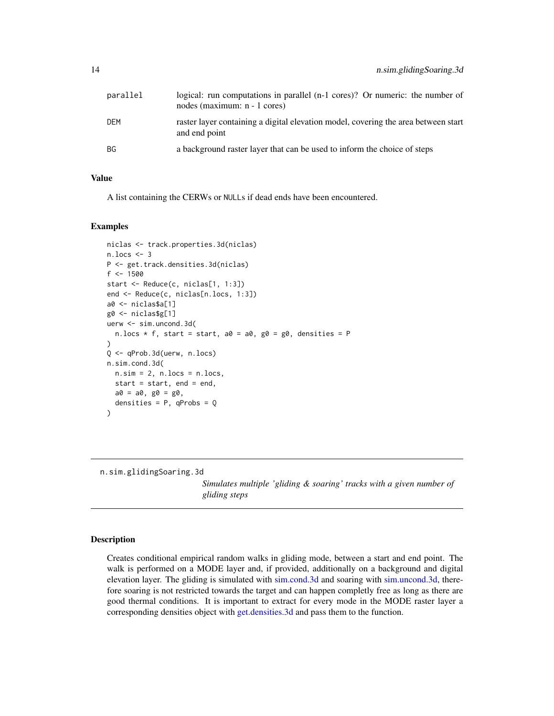<span id="page-13-0"></span>

| parallel | logical: run computations in parallel (n-1 cores)? Or numeric: the number of<br>nodes (maximum: n - 1 cores) |
|----------|--------------------------------------------------------------------------------------------------------------|
| DEM      | raster layer containing a digital elevation model, covering the area between start<br>and end point          |
| ΒG       | a background raster layer that can be used to inform the choice of steps                                     |

# Value

A list containing the CERWs or NULLs if dead ends have been encountered.

#### Examples

```
niclas <- track.properties.3d(niclas)
n.locs <- 3
P <- get.track.densities.3d(niclas)
f <- 1500
start <- Reduce(c, niclas[1, 1:3])
end <- Reduce(c, niclas[n.locs, 1:3])
a0 <- niclas$a[1]
g0 <- niclas$g[1]
uerw <- sim.uncond.3d(
  n.locs * f, start = start, a0 = a0, g0 = g0, densities = P
\lambdaQ <- qProb.3d(uerw, n.locs)
n.sim.cond.3d(
 n.sim = 2, n.locs = n.locs,start = start, end = end,
  a0 = a0, g0 = g0,
  densities = P, qProbs = Q\mathcal{L}
```
n.sim.glidingSoaring.3d

*Simulates multiple 'gliding & soaring' tracks with a given number of gliding steps*

#### Description

Creates conditional empirical random walks in gliding mode, between a start and end point. The walk is performed on a MODE layer and, if provided, additionally on a background and digital elevation layer. The gliding is simulated with [sim.cond.3d](#page-26-1) and soaring with [sim.uncond.3d,](#page-29-1) therefore soaring is not restricted towards the target and can happen completly free as long as there are good thermal conditions. It is important to extract for every mode in the MODE raster layer a corresponding densities object with [get.densities.3d](#page-6-1) and pass them to the function.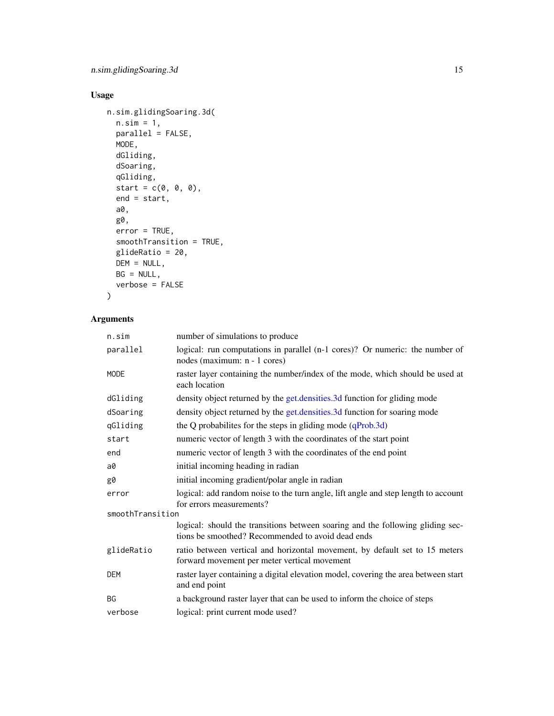# <span id="page-14-0"></span>Usage

```
n.sim.glidingSoaring.3d(
  n.sim = 1,parallel = FALSE,
  MODE,
  dGliding,
  dSoaring,
  qGliding,
  start = c(\emptyset, \emptyset, \emptyset),
  end = start,
  a0,
  g0,
  error = TRUE,smoothTransition = TRUE,
  glideRatio = 20,
  DEM = NULL,
  BG = NULL,verbose = FALSE
)
```
# Arguments

| n.sim            | number of simulations to produce                                                                                                    |  |
|------------------|-------------------------------------------------------------------------------------------------------------------------------------|--|
| parallel         | logical: run computations in parallel (n-1 cores)? Or numeric: the number of<br>nodes (maximum: n - 1 cores)                        |  |
| <b>MODE</b>      | raster layer containing the number/index of the mode, which should be used at<br>each location                                      |  |
| dGliding         | density object returned by the get.densities.3d function for gliding mode                                                           |  |
| dSoaring         | density object returned by the get.densities.3d function for soaring mode                                                           |  |
| qGliding         | the Q probabilities for the steps in gliding mode $(qProb.3d)$                                                                      |  |
| start            | numeric vector of length 3 with the coordinates of the start point                                                                  |  |
| end              | numeric vector of length 3 with the coordinates of the end point                                                                    |  |
| a0               | initial incoming heading in radian                                                                                                  |  |
| g0               | initial incoming gradient/polar angle in radian                                                                                     |  |
| error            | logical: add random noise to the turn angle, lift angle and step length to account<br>for errors measurements?                      |  |
| smoothTransition |                                                                                                                                     |  |
|                  | logical: should the transitions between soaring and the following gliding sec-<br>tions be smoothed? Recommended to avoid dead ends |  |
| glideRatio       | ratio between vertical and horizontal movement, by default set to 15 meters<br>forward movement per meter vertical movement         |  |
| <b>DEM</b>       | raster layer containing a digital elevation model, covering the area between start<br>and end point                                 |  |
| <b>BG</b>        | a background raster layer that can be used to inform the choice of steps                                                            |  |
| verbose          | logical: print current mode used?                                                                                                   |  |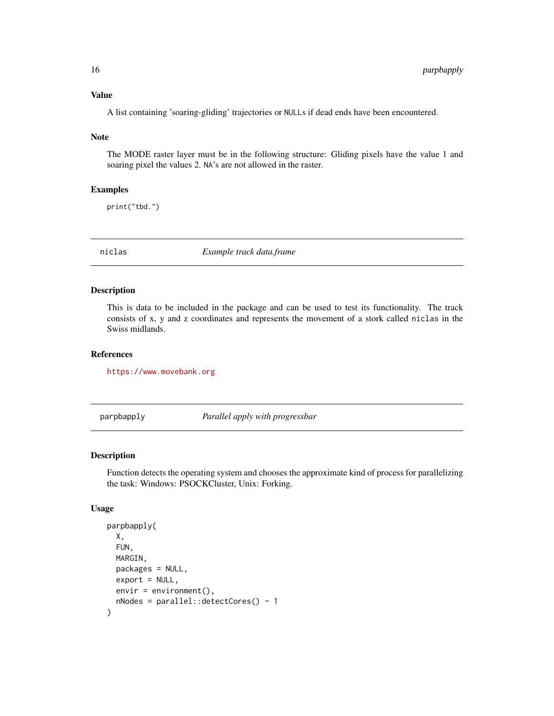A list containing 'soaring-gliding' trajectories or NULLs if dead ends have been encountered.

#### **Note**

The MODE raster layer must be in the following structure: Gliding pixels have the value 1 and soaring pixel the values 2. NA's are not allowed in the raster.

# Examples

print("tbd.")

niclas *Example track data.frame*

#### Description

This is data to be included in the package and can be used to test its functionality. The track consists of x, y and z coordinates and represents the movement of a stork called niclas in the Swiss midlands.

#### References

<https://www.movebank.org>

parpbapply *Parallel apply with progressbar*

#### Description

Function detects the operating system and chooses the approximate kind of process for parallelizing the task: Windows: PSOCKCluster, Unix: Forking.

```
parpbapply(
 X,
  FUN,
 MARGIN,
 packages = NULL,
 export = NULL,envir = environment(),
  nNodes = parallel::detectCores() - 1
)
```
<span id="page-15-0"></span>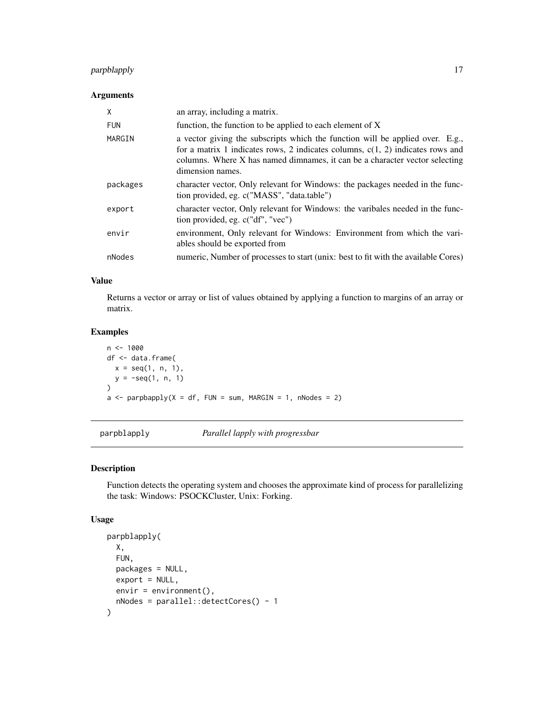# <span id="page-16-0"></span>parpblapply 17

#### Arguments

| X          | an array, including a matrix.                                                                                                                                                                                                                                        |
|------------|----------------------------------------------------------------------------------------------------------------------------------------------------------------------------------------------------------------------------------------------------------------------|
| <b>FUN</b> | function, the function to be applied to each element of X                                                                                                                                                                                                            |
| MARGIN     | a vector giving the subscripts which the function will be applied over. E.g.,<br>for a matrix 1 indicates rows, 2 indicates columns, $c(1, 2)$ indicates rows and<br>columns. Where X has named dimnames, it can be a character vector selecting<br>dimension names. |
| packages   | character vector, Only relevant for Windows: the packages needed in the func-<br>tion provided, eg. c("MASS", "data.table")                                                                                                                                          |
| export     | character vector, Only relevant for Windows: the varibales needed in the func-<br>tion provided, eg. c("df", "vec")                                                                                                                                                  |
| envir      | environment, Only relevant for Windows: Environment from which the vari-<br>ables should be exported from                                                                                                                                                            |
| nNodes     | numeric, Number of processes to start (unix: best to fit with the available Cores)                                                                                                                                                                                   |

### Value

Returns a vector or array or list of values obtained by applying a function to margins of an array or matrix.

# Examples

 $n < - 1000$ df <- data.frame(  $x = seq(1, n, 1),$  $y = -seq(1, n, 1)$ )  $a \leq -p$ arpbapply(X = df, FUN = sum, MARGIN = 1, nNodes = 2)

parpblapply *Parallel lapply with progressbar*

# Description

Function detects the operating system and chooses the approximate kind of process for parallelizing the task: Windows: PSOCKCluster, Unix: Forking.

```
parpblapply(
 X,
  FUN,
 packages = NULL,
 export = NULL,envir = environment(),
  nNodes = parallel::detectCores() - 1
\mathcal{L}
```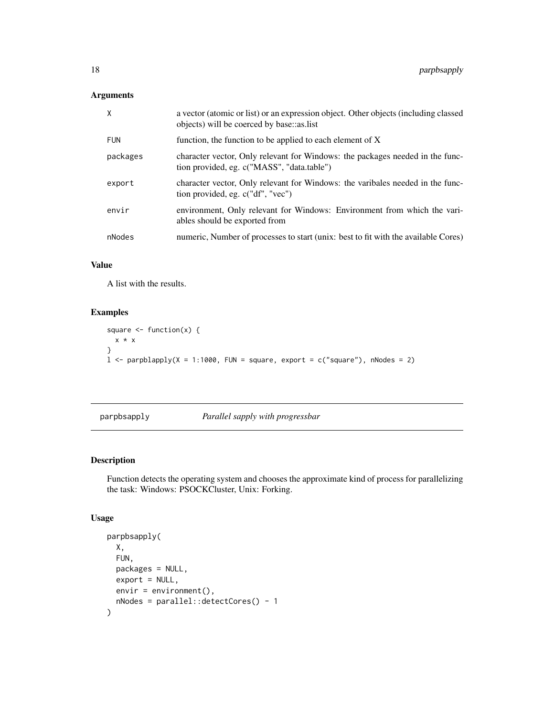# <span id="page-17-0"></span>Arguments

| $\mathsf{X}$ | a vector (atomic or list) or an expression object. Other objects (including classed<br>objects) will be coerced by base: as list |
|--------------|----------------------------------------------------------------------------------------------------------------------------------|
| <b>FUN</b>   | function, the function to be applied to each element of X                                                                        |
| packages     | character vector, Only relevant for Windows: the packages needed in the func-<br>tion provided, eg. c("MASS", "data.table")      |
| export       | character vector, Only relevant for Windows: the varibales needed in the func-<br>tion provided, eg. c("df", "vec")              |
| envir        | environment, Only relevant for Windows: Environment from which the vari-<br>ables should be exported from                        |
| nNodes       | numeric, Number of processes to start (unix: best to fit with the available Cores)                                               |
|              |                                                                                                                                  |

# Value

A list with the results.

# Examples

```
square \leq function(x) {
  x * x
}
\frac{1}{1} <- parpblapply(X = 1:1000, FUN = square, export = c("square"), nNodes = 2)
```
parpbsapply *Parallel sapply with progressbar*

# Description

Function detects the operating system and chooses the approximate kind of process for parallelizing the task: Windows: PSOCKCluster, Unix: Forking.

```
parpbsapply(
 X,
  FUN,
 packages = NULL,
 export = NULL,envir = environment(),
  nNodes = parallel::detectCores() - 1
\mathcal{L}
```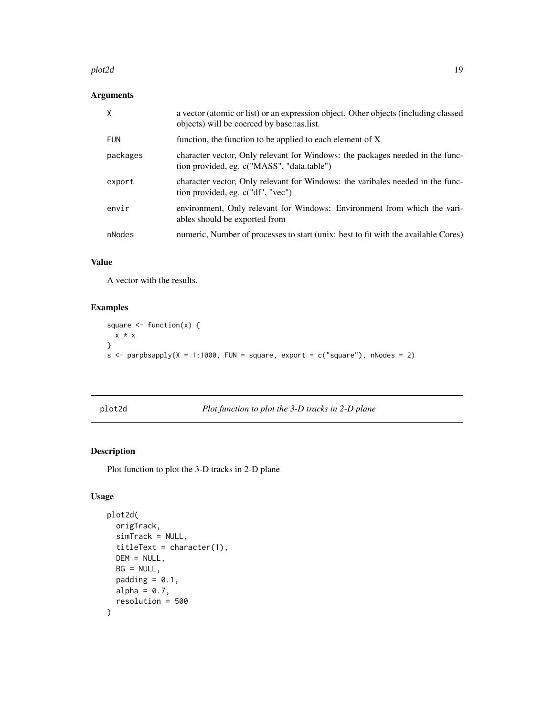#### <span id="page-18-0"></span>plot2d and the contract of the contract of the contract of the contract of the contract of the contract of the contract of the contract of the contract of the contract of the contract of the contract of the contract of the

# Arguments

| X          | a vector (atomic or list) or an expression object. Other objects (including classed<br>objects) will be coerced by base: as list. |
|------------|-----------------------------------------------------------------------------------------------------------------------------------|
| <b>FUN</b> | function, the function to be applied to each element of $X$                                                                       |
| packages   | character vector, Only relevant for Windows: the packages needed in the func-<br>tion provided, eg. c("MASS", "data.table")       |
| export     | character vector, Only relevant for Windows: the varibales needed in the func-<br>tion provided, eg. c("df", "vec")               |
| envir      | environment, Only relevant for Windows: Environment from which the vari-<br>ables should be exported from                         |
| nNodes     | numeric, Number of processes to start (unix: best to fit with the available Cores)                                                |

# Value

A vector with the results.

# Examples

```
square \leq function(x) {
 x * x
}
s \le parpbsapply(X = 1:1000, FUN = square, export = c("square"), nNodes = 2)
```
plot2d *Plot function to plot the 3-D tracks in 2-D plane*

# Description

Plot function to plot the 3-D tracks in 2-D plane

```
plot2d(
  origTrack,
  simTrack = NULL,
  titleText = character(1),
  DEM = NULL,
  BG = NULL,padding = 0.1,
  alpha = 0.7,
  resolution = 500
\mathcal{L}
```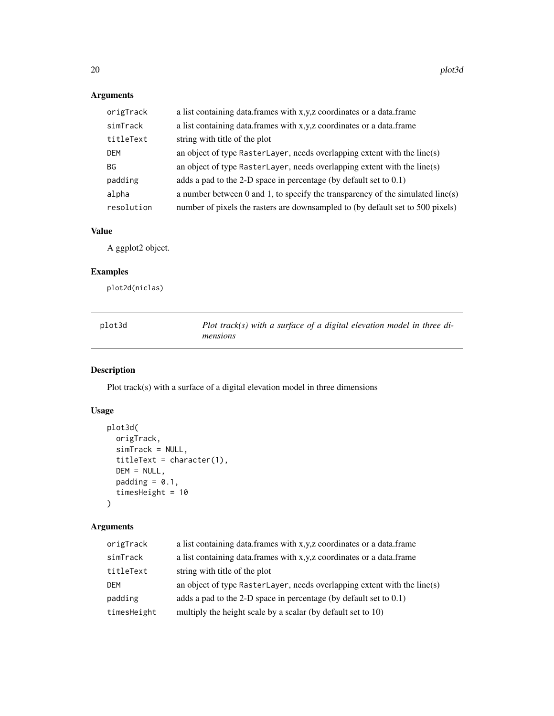# Arguments

| origTrack  | a list containing data.frames with x, y, z coordinates or a data.frame         |
|------------|--------------------------------------------------------------------------------|
| simTrack   | a list containing data.frames with x, y, z coordinates or a data.frame         |
| titleText  | string with title of the plot                                                  |
| DEM        | an object of type RasterLayer, needs overlapping extent with the line(s)       |
| BG         | an object of type RasterLayer, needs overlapping extent with the line(s)       |
| padding    | adds a pad to the 2-D space in percentage (by default set to $0.1$ )           |
| alpha      | a number between 0 and 1, to specify the transparency of the simulated line(s) |
| resolution | number of pixels the rasters are downsampled to (by default set to 500 pixels) |

# Value

A ggplot2 object.

# Examples

plot2d(niclas)

| plot3d | Plot track(s) with a surface of a digital elevation model in three di- |
|--------|------------------------------------------------------------------------|
|        | mensions                                                               |

# Description

Plot track(s) with a surface of a digital elevation model in three dimensions

# Usage

```
plot3d(
 origTrack,
 simTrack = NULL,
 titleText = character(1),
 DEM = NULL,
 padding = 0.1,
  timesHeight = 10
)
```
# Arguments

| origTrack   | a list containing data.frames with x, y, z coordinates or a data.frame   |
|-------------|--------------------------------------------------------------------------|
| simTrack    | a list containing data frames with x, y, z coordinates or a data frame   |
| titleText   | string with title of the plot                                            |
| <b>DEM</b>  | an object of type RasterLayer, needs overlapping extent with the line(s) |
| padding     | adds a pad to the 2-D space in percentage (by default set to $0.1$ )     |
| timesHeight | multiply the height scale by a scalar (by default set to 10)             |

<span id="page-19-0"></span>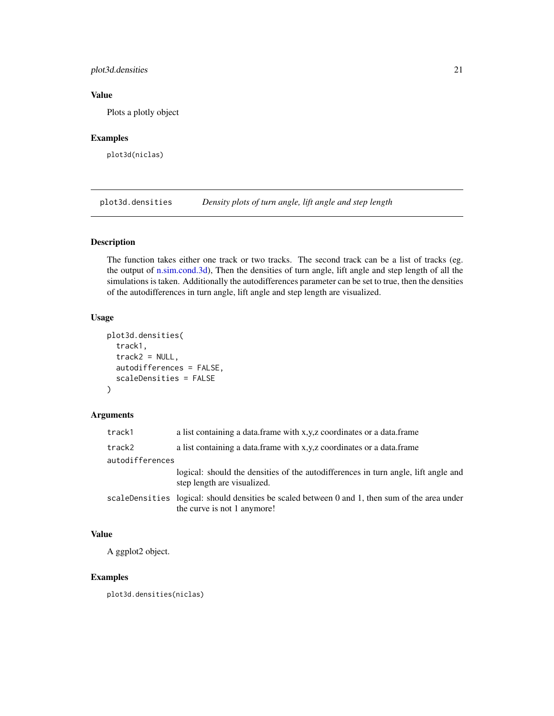# <span id="page-20-0"></span>plot3d.densities 21

# Value

Plots a plotly object

# Examples

plot3d(niclas)

plot3d.densities *Density plots of turn angle, lift angle and step length*

# Description

The function takes either one track or two tracks. The second track can be a list of tracks (eg. the output of [n.sim.cond.3d\)](#page-12-1), Then the densities of turn angle, lift angle and step length of all the simulations is taken. Additionally the autodifferences parameter can be set to true, then the densities of the autodifferences in turn angle, lift angle and step length are visualized.

# Usage

```
plot3d.densities(
  track1,
  track2 = NULL,autodifferences = FALSE,
  scaleDensities = FALSE
\lambda
```
#### Arguments

| track1          | a list containing a data.frame with x,y,z coordinates or a data.frame                                                         |
|-----------------|-------------------------------------------------------------------------------------------------------------------------------|
| track2          | a list containing a data.frame with x,y,z coordinates or a data.frame                                                         |
| autodifferences |                                                                                                                               |
|                 | logical: should the densities of the autodifferences in turn angle, lift angle and<br>step length are visualized.             |
|                 | scaleDensities logical: should densities be scaled between 0 and 1, then sum of the area under<br>the curve is not 1 anymore! |

# Value

A ggplot2 object.

# Examples

plot3d.densities(niclas)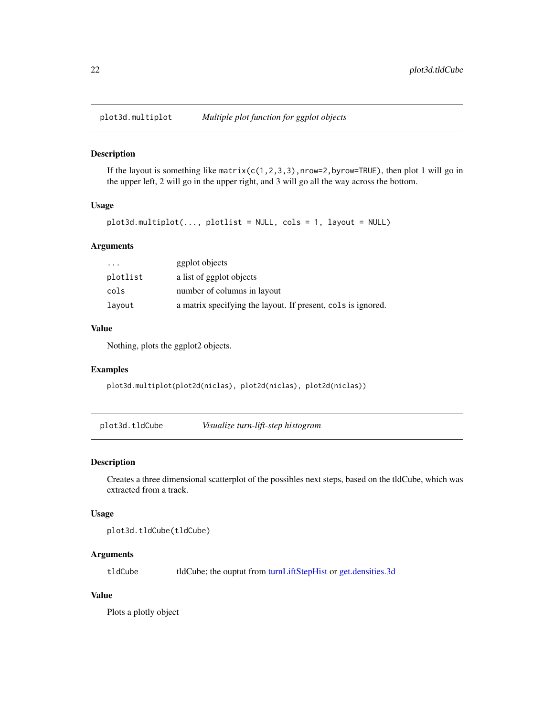<span id="page-21-0"></span>

If the layout is something like matrix(c(1,2,3,3),nrow=2,byrow=TRUE), then plot 1 will go in the upper left, 2 will go in the upper right, and 3 will go all the way across the bottom.

#### Usage

```
plot3d.multiplot(..., plotlist = NULL, cols = 1, layout = NULL)
```
#### Arguments

| $\cdot$  | ggplot objects                                               |
|----------|--------------------------------------------------------------|
| plotlist | a list of ggplot objects                                     |
| cols     | number of columns in layout                                  |
| layout   | a matrix specifying the layout. If present, cols is ignored. |

# Value

Nothing, plots the ggplot2 objects.

#### Examples

plot3d.multiplot(plot2d(niclas), plot2d(niclas), plot2d(niclas))

plot3d.tldCube *Visualize turn-lift-step histogram*

# Description

Creates a three dimensional scatterplot of the possibles next steps, based on the tldCube, which was extracted from a track.

#### Usage

plot3d.tldCube(tldCube)

#### Arguments

tldCube tldCube; the ouptut from [turnLiftStepHist](#page-36-1) or [get.densities.3d](#page-6-1)

# Value

Plots a plotly object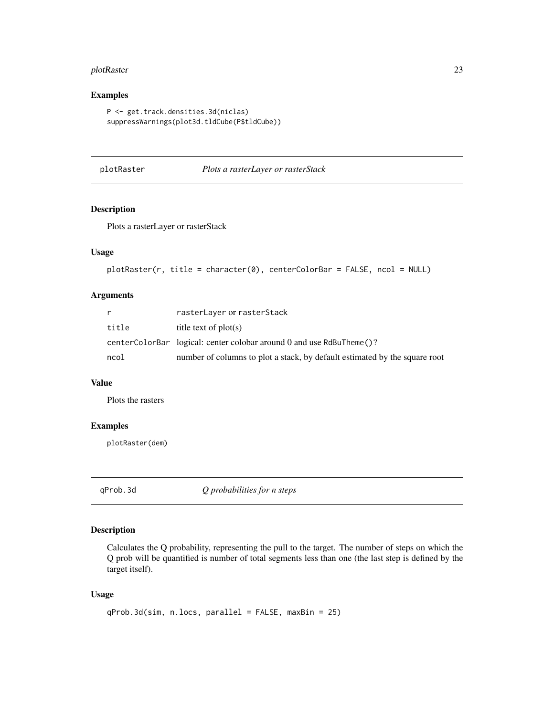# <span id="page-22-0"></span>plotRaster 23

# Examples

```
P <- get.track.densities.3d(niclas)
suppressWarnings(plot3d.tldCube(P$tldCube))
```
plotRaster *Plots a rasterLayer or rasterStack*

# Description

Plots a rasterLayer or rasterStack

#### Usage

```
plotRaster(r, title = character(0), centerColorBar = FALSE, ncol = NULL)
```
# Arguments

|       | rasterLayer or rasterStack                                                 |
|-------|----------------------------------------------------------------------------|
| title | title text of $plot(s)$                                                    |
|       | centerColorBar logical: center colobar around 0 and use RdBuTheme()?       |
| ncol  | number of columns to plot a stack, by default estimated by the square root |

# Value

Plots the rasters

#### Examples

plotRaster(dem)

qProb.3d *Q probabilities for n steps*

# Description

Calculates the Q probability, representing the pull to the target. The number of steps on which the Q prob will be quantified is number of total segments less than one (the last step is defined by the target itself).

```
qProb.3d(sim, n.locs, parallel = FALSE, maxBin = 25)
```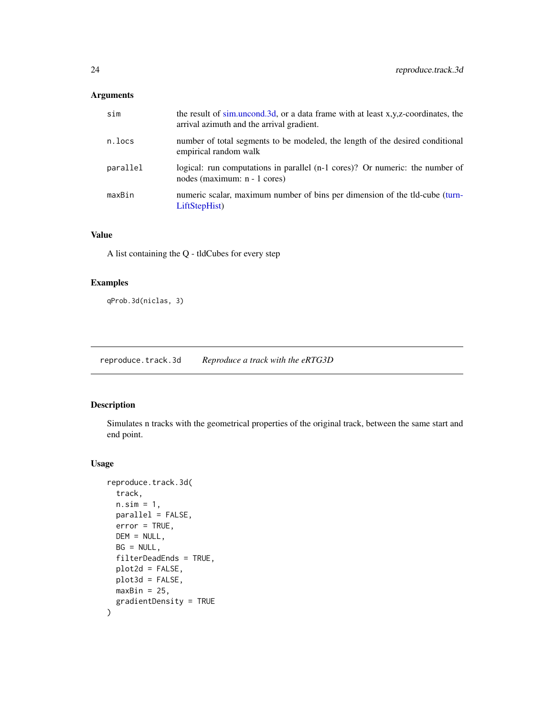# <span id="page-23-0"></span>Arguments

| sim      | the result of sim.uncond.3d, or a data frame with at least x,y,z-coordinates, the<br>arrival azimuth and the arrival gradient. |
|----------|--------------------------------------------------------------------------------------------------------------------------------|
| n.locs   | number of total segments to be modeled, the length of the desired conditional<br>empirical random walk                         |
| parallel | logical: run computations in parallel (n-1 cores)? Or numeric: the number of<br>nodes (maximum: n - 1 cores)                   |
| maxBin   | numeric scalar, maximum number of bins per dimension of the tld-cube (turn-<br>LiftStepHist)                                   |

# Value

A list containing the Q - tldCubes for every step

# Examples

qProb.3d(niclas, 3)

reproduce.track.3d *Reproduce a track with the eRTG3D*

# Description

Simulates n tracks with the geometrical properties of the original track, between the same start and end point.

```
reproduce.track.3d(
  track,
 n.sim = 1,parallel = FALSE,
  error = TRUE,
 DEM = NULL,
 BG = NULL,filterDeadEnds = TRUE,
 plot2d = FALSE,
 plot3d = FALSE,
 maxBin = 25,
  gradientDensity = TRUE
\mathcal{E}
```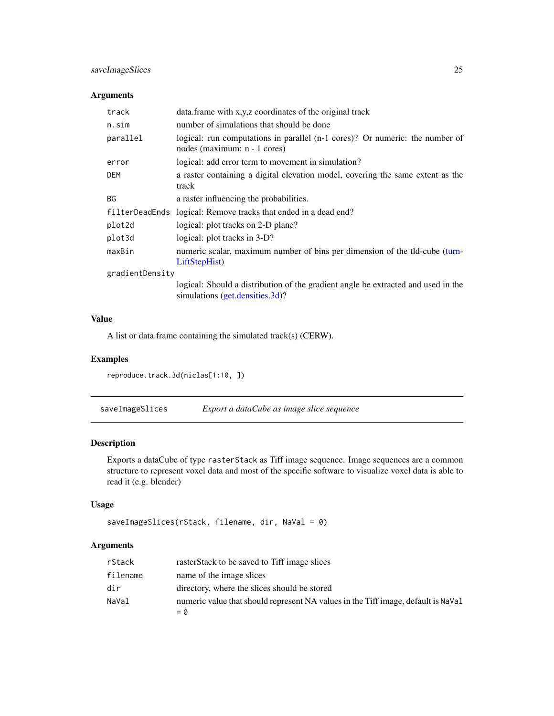# <span id="page-24-0"></span>saveImageSlices 25

# Arguments

| track           | data.frame with x,y,z coordinates of the original track                                                              |
|-----------------|----------------------------------------------------------------------------------------------------------------------|
| n.sim           | number of simulations that should be done                                                                            |
| parallel        | logical: run computations in parallel (n-1 cores)? Or numeric: the number of<br>nodes (maximum: n - 1 cores)         |
| error           | logical: add error term to movement in simulation?                                                                   |
| <b>DEM</b>      | a raster containing a digital elevation model, covering the same extent as the<br>track                              |
| <b>BG</b>       | a raster influencing the probabilities.                                                                              |
| filterDeadEnds  | logical: Remove tracks that ended in a dead end?                                                                     |
| plot2d          | logical: plot tracks on 2-D plane?                                                                                   |
| plot3d          | logical: plot tracks in 3-D?                                                                                         |
| maxBin          | numeric scalar, maximum number of bins per dimension of the tld-cube (turn-<br>LiftStepHist)                         |
| gradientDensity |                                                                                                                      |
|                 | logical: Should a distribution of the gradient angle be extracted and used in the<br>simulations (get.densities.3d)? |

# Value

A list or data.frame containing the simulated track(s) (CERW).

#### Examples

reproduce.track.3d(niclas[1:10, ])

| saveImageSlices | Export a dataCube as image slice sequence |
|-----------------|-------------------------------------------|
|                 |                                           |

# Description

Exports a dataCube of type rasterStack as Tiff image sequence. Image sequences are a common structure to represent voxel data and most of the specific software to visualize voxel data is able to read it (e.g. blender)

# Usage

```
saveImageSlices(rStack, filename, dir, NaVal = 0)
```
# Arguments

| rStack   | rasterStack to be saved to Tiff image slices                                               |
|----------|--------------------------------------------------------------------------------------------|
| filename | name of the image slices                                                                   |
| dir      | directory, where the slices should be stored                                               |
| NaVal    | numeric value that should represent NA values in the Tiff image, default is NaVal<br>$= 0$ |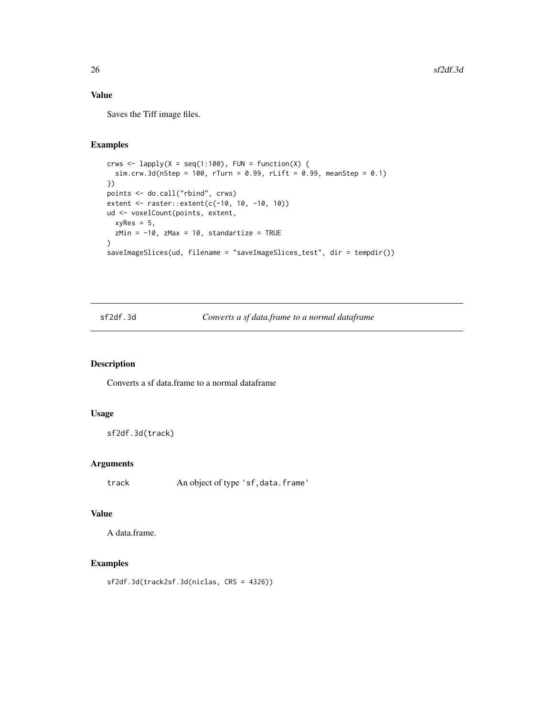# <span id="page-25-0"></span>Value

Saves the Tiff image files.

# Examples

```
crws <- lapply(X = seq(1:100), FUN = function(X) {
  sim.crw.3d(nStep = 100, rTurn = 0.99, rLift = 0.99, meanStep = 0.1)
})
points <- do.call("rbind", crws)
extent <- raster::extent(c(-10, 10, -10, 10))
ud <- voxelCount(points, extent,
  xyRes = 5,
  zMin = -10, zMax = 10, standardize = TRUE\mathcal{L}saveImageSlices(ud, filename = "saveImageSlices_test", dir = tempdir())
```
sf2df.3d *Converts a sf data.frame to a normal dataframe*

### Description

Converts a sf data.frame to a normal dataframe

# Usage

```
sf2df.3d(track)
```
#### Arguments

track An object of type 'sf,data.frame'

# Value

A data.frame.

# Examples

sf2df.3d(track2sf.3d(niclas, CRS = 4326))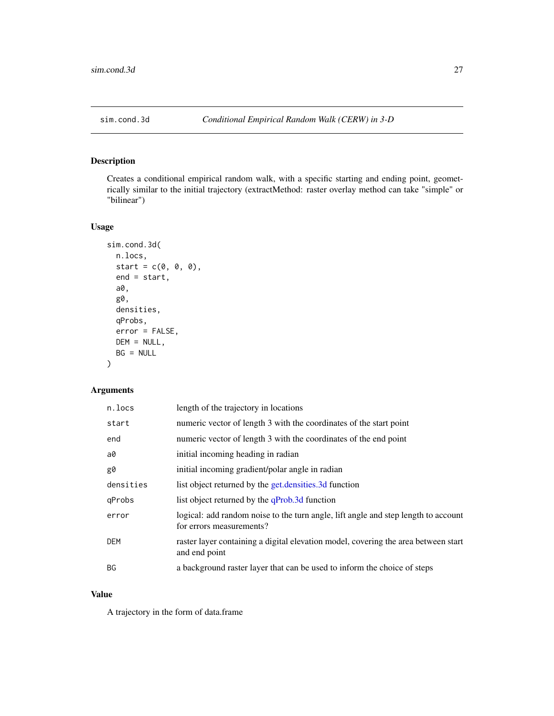<span id="page-26-1"></span><span id="page-26-0"></span>

Creates a conditional empirical random walk, with a specific starting and ending point, geometrically similar to the initial trajectory (extractMethod: raster overlay method can take "simple" or "bilinear")

# Usage

```
sim.cond.3d(
  n.locs,
  start = c(\emptyset, \emptyset, \emptyset),
  end = start,
  a0,
  g0,
  densities,
  qProbs,
  error = FALSE,
  DEM = NULL,
  BG = NULL)
```
# Arguments

| length of the trajectory in locations                                                                          |
|----------------------------------------------------------------------------------------------------------------|
| numeric vector of length 3 with the coordinates of the start point                                             |
| numeric vector of length 3 with the coordinates of the end point                                               |
| initial incoming heading in radian                                                                             |
| initial incoming gradient/polar angle in radian                                                                |
| list object returned by the get.densities.3d function                                                          |
| list object returned by the qProb.3d function                                                                  |
| logical: add random noise to the turn angle, lift angle and step length to account<br>for errors measurements? |
| raster layer containing a digital elevation model, covering the area between start<br>and end point            |
| a background raster layer that can be used to inform the choice of steps                                       |
|                                                                                                                |

#### Value

A trajectory in the form of data.frame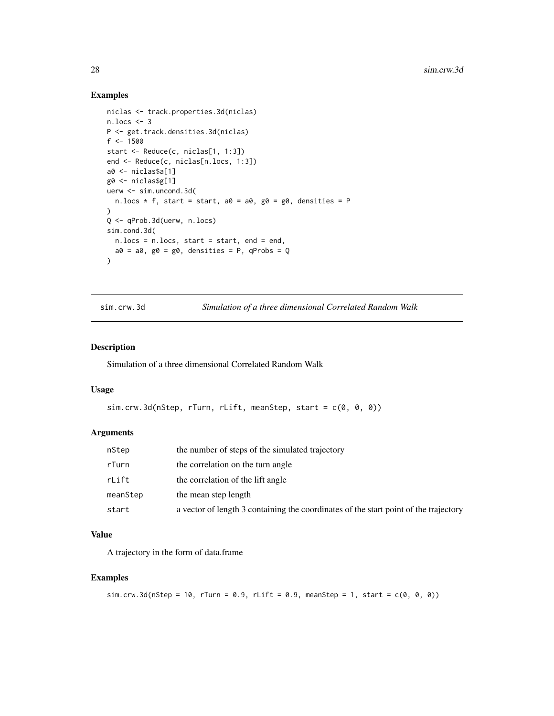# Examples

```
niclas <- track.properties.3d(niclas)
n.locs \leq -3P <- get.track.densities.3d(niclas)
f <- 1500
start <- Reduce(c, niclas[1, 1:3])
end <- Reduce(c, niclas[n.locs, 1:3])
a0 <- niclas$a[1]
g0 <- niclas$g[1]
uerw <- sim.uncond.3d(
  n.locs * f, start = start, a0 = a0, g0 = g0, densities = P
)
Q <- qProb.3d(uerw, n.locs)
sim.cond.3d(
 n.locs = n.locs, start = start, end = end,
  a0 = a0, g0 = g0, densities = P, qProbs = Q
\mathcal{L}
```
sim.crw.3d *Simulation of a three dimensional Correlated Random Walk*

#### Description

Simulation of a three dimensional Correlated Random Walk

#### Usage

```
sim.crw.3d(nStep, rTurn, rLift, meanStep, start = <math>c(0, 0, 0)</math>)
```
# Arguments

| nStep    | the number of steps of the simulated trajectory                                      |
|----------|--------------------------------------------------------------------------------------|
| rTurn    | the correlation on the turn angle                                                    |
| rLift    | the correlation of the lift angle                                                    |
| meanStep | the mean step length                                                                 |
| start    | a vector of length 3 containing the coordinates of the start point of the trajectory |

#### Value

A trajectory in the form of data.frame

# Examples

```
sim.crw.3d(nStep = 10, rTurn = 0.9, rLift = 0.9, meanStep = 1, start = c(0, 0, 0))
```
<span id="page-27-0"></span>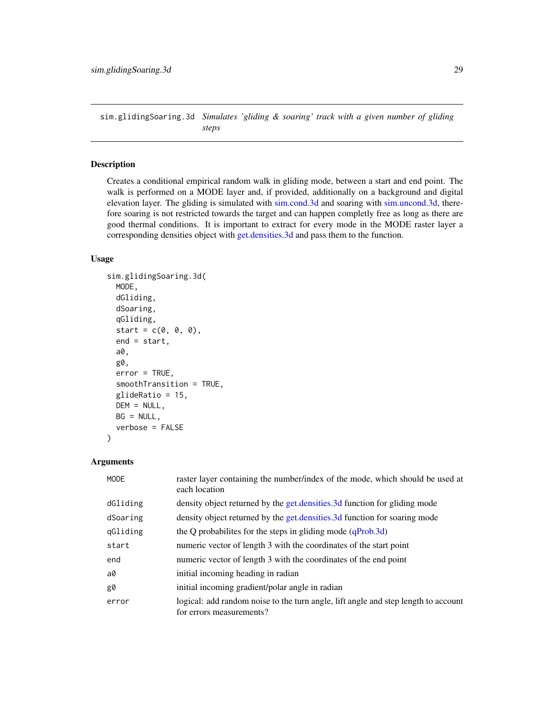<span id="page-28-0"></span>sim.glidingSoaring.3d *Simulates 'gliding & soaring' track with a given number of gliding steps*

# Description

Creates a conditional empirical random walk in gliding mode, between a start and end point. The walk is performed on a MODE layer and, if provided, additionally on a background and digital elevation layer. The gliding is simulated with [sim.cond.3d](#page-26-1) and soaring with [sim.uncond.3d,](#page-29-1) therefore soaring is not restricted towards the target and can happen completly free as long as there are good thermal conditions. It is important to extract for every mode in the MODE raster layer a corresponding densities object with [get.densities.3d](#page-6-1) and pass them to the function.

# Usage

```
sim.glidingSoaring.3d(
  MODE,
  dGliding,
  dSoaring,
  qGliding,
  start = c(0, 0, 0),
  end = start,
  a0,
  g0,
  error = TRUE,
  smoothTransition = TRUE,
  glideRatio = 15,
  DEM = NULL,
  BG = NULL,verbose = FALSE
\mathcal{L}
```
# Arguments

| <b>MODE</b> | raster layer containing the number/index of the mode, which should be used at<br>each location                 |
|-------------|----------------------------------------------------------------------------------------------------------------|
| dGliding    | density object returned by the get densities. 3d function for gliding mode                                     |
| dSoaring    | density object returned by the get densities. 3d function for soaring mode                                     |
| gGliding    | the Q probabilities for the steps in gliding mode $(qProb.3d)$                                                 |
| start       | numeric vector of length 3 with the coordinates of the start point                                             |
| end         | numeric vector of length 3 with the coordinates of the end point                                               |
| a0          | initial incoming heading in radian                                                                             |
| g0          | initial incoming gradient/polar angle in radian                                                                |
| error       | logical: add random noise to the turn angle, lift angle and step length to account<br>for errors measurements? |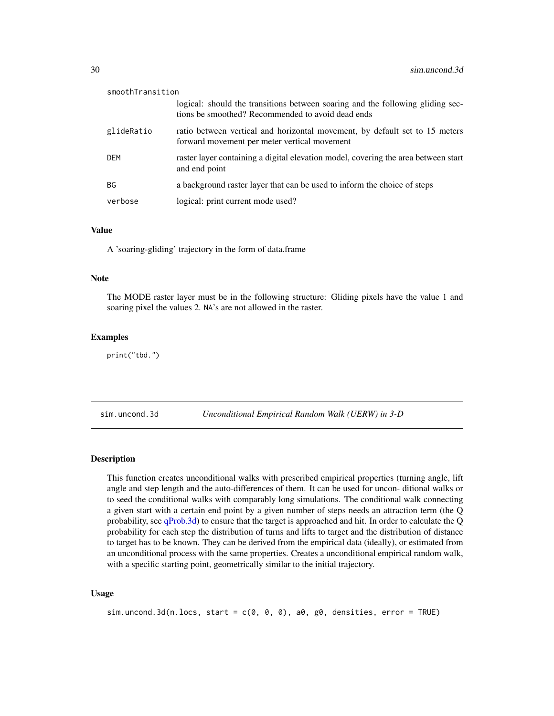<span id="page-29-0"></span>

| smoothTransition |                                                                                                                                     |  |
|------------------|-------------------------------------------------------------------------------------------------------------------------------------|--|
|                  | logical: should the transitions between soaring and the following gliding sec-<br>tions be smoothed? Recommended to avoid dead ends |  |
| glideRatio       | ratio between vertical and horizontal movement, by default set to 15 meters<br>forward movement per meter vertical movement         |  |
| <b>DEM</b>       | raster layer containing a digital elevation model, covering the area between start<br>and end point                                 |  |
| <b>BG</b>        | a background raster layer that can be used to inform the choice of steps                                                            |  |
| verbose          | logical: print current mode used?                                                                                                   |  |

#### Value

A 'soaring-gliding' trajectory in the form of data.frame

#### Note

The MODE raster layer must be in the following structure: Gliding pixels have the value 1 and soaring pixel the values 2. NA's are not allowed in the raster.

#### Examples

print("tbd.")

<span id="page-29-1"></span>sim.uncond.3d *Unconditional Empirical Random Walk (UERW) in 3-D*

#### Description

This function creates unconditional walks with prescribed empirical properties (turning angle, lift angle and step length and the auto-differences of them. It can be used for uncon- ditional walks or to seed the conditional walks with comparably long simulations. The conditional walk connecting a given start with a certain end point by a given number of steps needs an attraction term (the Q probability, see [qProb.3d\)](#page-22-1) to ensure that the target is approached and hit. In order to calculate the Q probability for each step the distribution of turns and lifts to target and the distribution of distance to target has to be known. They can be derived from the empirical data (ideally), or estimated from an unconditional process with the same properties. Creates a unconditional empirical random walk, with a specific starting point, geometrically similar to the initial trajectory.

#### Usage

sim.uncond.3d(n.locs, start =  $c(\theta, \theta, \theta)$ , a $\theta$ , g $\theta$ , densities, error = TRUE)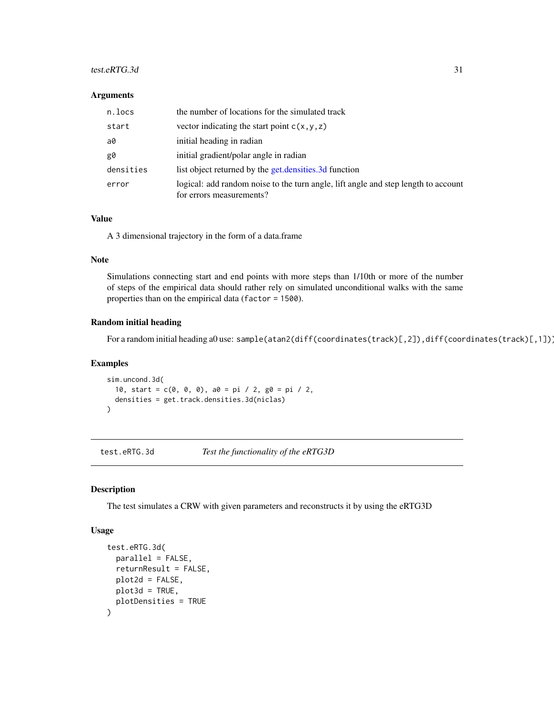#### <span id="page-30-0"></span>test.eRTG.3d  $31$

#### **Arguments**

| n.locs    | the number of locations for the simulated track                                                                |
|-----------|----------------------------------------------------------------------------------------------------------------|
| start     | vector indicating the start point $c(x, y, z)$                                                                 |
| a0        | initial heading in radian                                                                                      |
| g0        | initial gradient/polar angle in radian                                                                         |
| densities | list object returned by the get.densities.3d function                                                          |
| error     | logical: add random noise to the turn angle, lift angle and step length to account<br>for errors measurements? |

# Value

A 3 dimensional trajectory in the form of a data.frame

#### Note

Simulations connecting start and end points with more steps than 1/10th or more of the number of steps of the empirical data should rather rely on simulated unconditional walks with the same properties than on the empirical data (factor = 1500).

# Random initial heading

For a random initial heading a0 use: sample(atan2(diff(coordinates(track)[,2]),diff(coordinates(track)[,1])

#### Examples

```
sim.uncond.3d(
 10, start = c(0, 0, 0), a0 = pi / 2, g0 = pi / 2,
 densities = get.track.densities.3d(niclas)
\lambda
```
test.eRTG.3d *Test the functionality of the eRTG3D*

#### Description

The test simulates a CRW with given parameters and reconstructs it by using the eRTG3D

```
test.eRTG.3d(
 parallel = FALSE,
 returnResult = FALSE,
 plot2d = FALSE,plot3d = TRUE,plotDensities = TRUE
)
```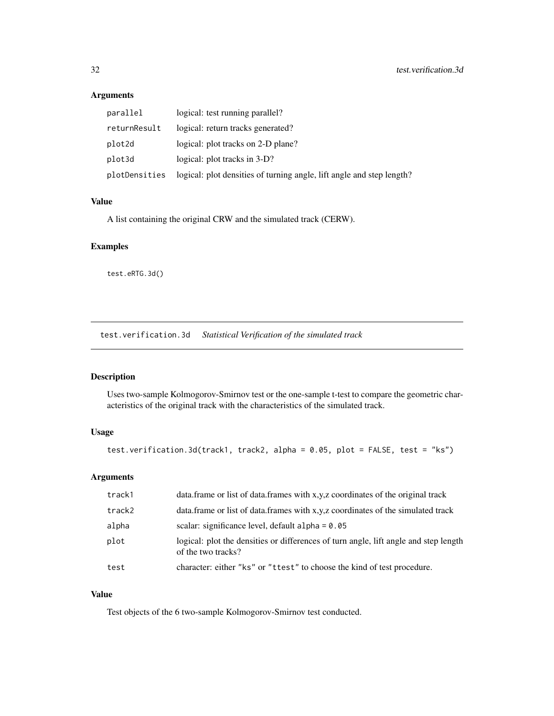# <span id="page-31-0"></span>Arguments

| parallel      | logical: test running parallel?                                       |
|---------------|-----------------------------------------------------------------------|
| returnResult  | logical: return tracks generated?                                     |
| plot2d        | logical: plot tracks on 2-D plane?                                    |
| plot3d        | logical: plot tracks in 3-D?                                          |
| plotDensities | logical: plot densities of turning angle, lift angle and step length? |

#### Value

A list containing the original CRW and the simulated track (CERW).

# Examples

test.eRTG.3d()

test.verification.3d *Statistical Verification of the simulated track*

# Description

Uses two-sample Kolmogorov-Smirnov test or the one-sample t-test to compare the geometric characteristics of the original track with the characteristics of the simulated track.

# Usage

```
test.verification.3d(track1, track2, alpha = 0.05, plot = FALSE, test = "ks")
```
# Arguments

| track1 | data.frame or list of data.frames with x,y,z coordinates of the original track                             |
|--------|------------------------------------------------------------------------------------------------------------|
| track2 | data.frame or list of data.frames with x,y,z coordinates of the simulated track                            |
| alpha  | scalar: significance level, default alpha = $0.05$                                                         |
| plot   | logical: plot the densities or differences of turn angle, lift angle and step length<br>of the two tracks? |
| test   | character: either "ks" or "ttest" to choose the kind of test procedure.                                    |

#### Value

Test objects of the 6 two-sample Kolmogorov-Smirnov test conducted.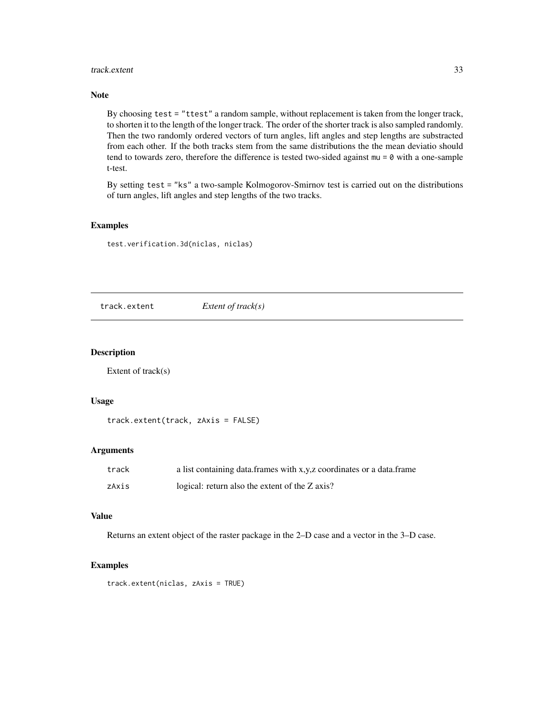#### <span id="page-32-0"></span>track.extent 33

# Note

By choosing test = "ttest" a random sample, without replacement is taken from the longer track, to shorten it to the length of the longer track. The order of the shorter track is also sampled randomly. Then the two randomly ordered vectors of turn angles, lift angles and step lengths are substracted from each other. If the both tracks stem from the same distributions the the mean deviatio should tend to towards zero, therefore the difference is tested two-sided against  $mu = 0$  with a one-sample t-test.

By setting test = "ks" a two-sample Kolmogorov-Smirnov test is carried out on the distributions of turn angles, lift angles and step lengths of the two tracks.

#### Examples

test.verification.3d(niclas, niclas)

track.extent *Extent of track(s)*

#### Description

Extent of track(s)

#### Usage

track.extent(track, zAxis = FALSE)

#### Arguments

| track | a list containing data.frames with x,y,z coordinates or a data.frame |
|-------|----------------------------------------------------------------------|
| zAxis | logical: return also the extent of the Z axis?                       |

#### Value

Returns an extent object of the raster package in the 2–D case and a vector in the 3–D case.

#### Examples

track.extent(niclas, zAxis = TRUE)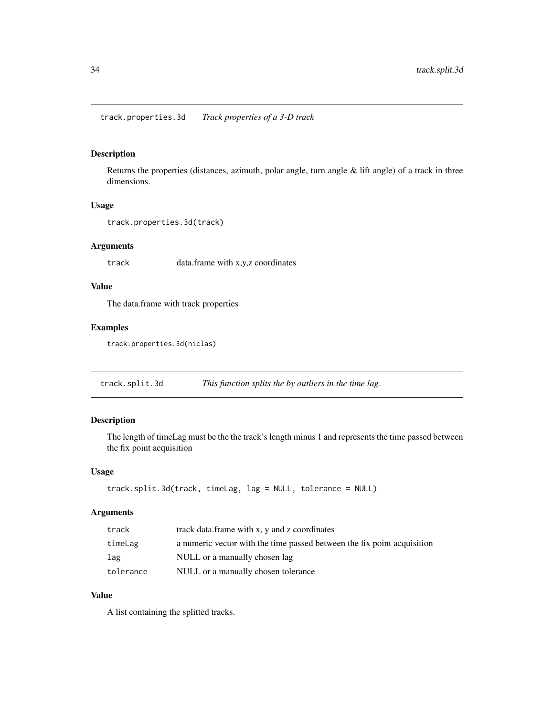<span id="page-33-0"></span>track.properties.3d *Track properties of a 3-D track*

# Description

Returns the properties (distances, azimuth, polar angle, turn angle & lift angle) of a track in three dimensions.

#### Usage

```
track.properties.3d(track)
```
#### Arguments

track data.frame with x,y,z coordinates

# Value

The data.frame with track properties

# Examples

track.properties.3d(niclas)

<span id="page-33-1"></span>track.split.3d *This function splits the by outliers in the time lag.*

#### Description

The length of timeLag must be the the track's length minus 1 and represents the time passed between the fix point acquisition

# Usage

```
track.split.3d(track, timeLag, lag = NULL, tolerance = NULL)
```
# Arguments

| track     | track data.frame with x, y and z coordinates                            |
|-----------|-------------------------------------------------------------------------|
| timeLag   | a numeric vector with the time passed between the fix point acquisition |
| lag       | NULL or a manually chosen lag                                           |
| tolerance | NULL or a manually chosen tolerance                                     |

# Value

A list containing the splitted tracks.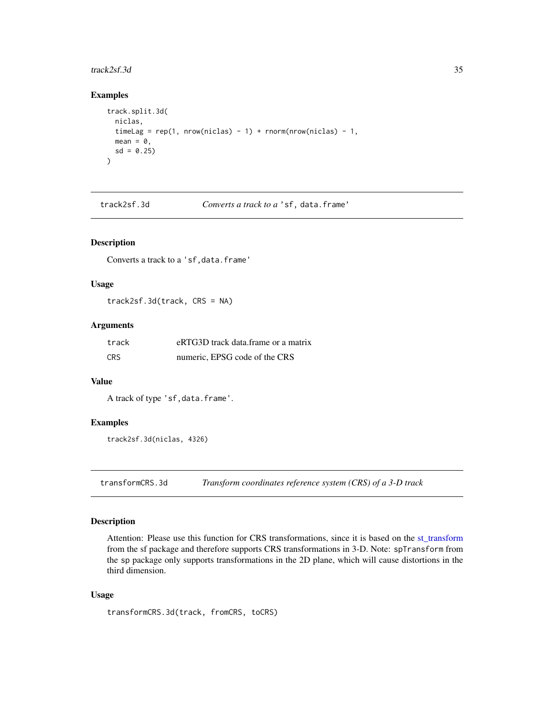#### <span id="page-34-0"></span>track2sf.3d 35

# Examples

```
track.split.3d(
 niclas,
  timeLag = rep(1, new(niclass) - 1) + rnorm(nrow(niclass) - 1,mean = 0.
  sd = 0.25\lambda
```

| track2sf.3d | Converts a track to a 'sf, data.frame' |  |
|-------------|----------------------------------------|--|
|-------------|----------------------------------------|--|

# Description

Converts a track to a 'sf, data.frame'

#### Usage

track2sf.3d(track, CRS = NA)

# Arguments

| track      | eRTG3D track data frame or a matrix |
|------------|-------------------------------------|
| <b>CRS</b> | numeric, EPSG code of the CRS       |

#### Value

A track of type 'sf,data.frame'.

# Examples

track2sf.3d(niclas, 4326)

transformCRS.3d *Transform coordinates reference system (CRS) of a 3-D track*

# Description

Attention: Please use this function for CRS transformations, since it is based on the [st\\_transform](#page-0-0) from the sf package and therefore supports CRS transformations in 3-D. Note: spTransform from the sp package only supports transformations in the 2D plane, which will cause distortions in the third dimension.

```
transformCRS.3d(track, fromCRS, toCRS)
```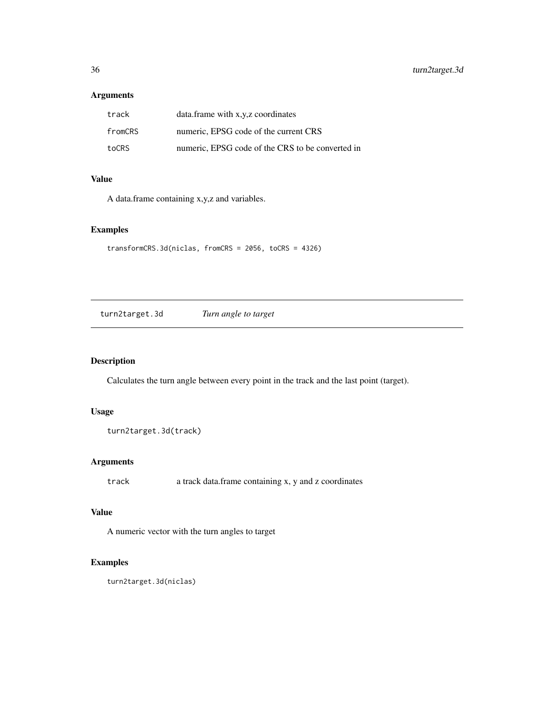# <span id="page-35-0"></span>Arguments

| track   | data.frame with x, y, z coordinates              |
|---------|--------------------------------------------------|
| fromCRS | numeric. EPSG code of the current CRS            |
| toCRS   | numeric, EPSG code of the CRS to be converted in |

# Value

A data.frame containing x,y,z and variables.

# Examples

```
transformCRS.3d(niclas, fromCRS = 2056, toCRS = 4326)
```
turn2target.3d *Turn angle to target*

# Description

Calculates the turn angle between every point in the track and the last point (target).

# Usage

```
turn2target.3d(track)
```
# Arguments

track a track data.frame containing x, y and z coordinates

# Value

A numeric vector with the turn angles to target

# Examples

turn2target.3d(niclas)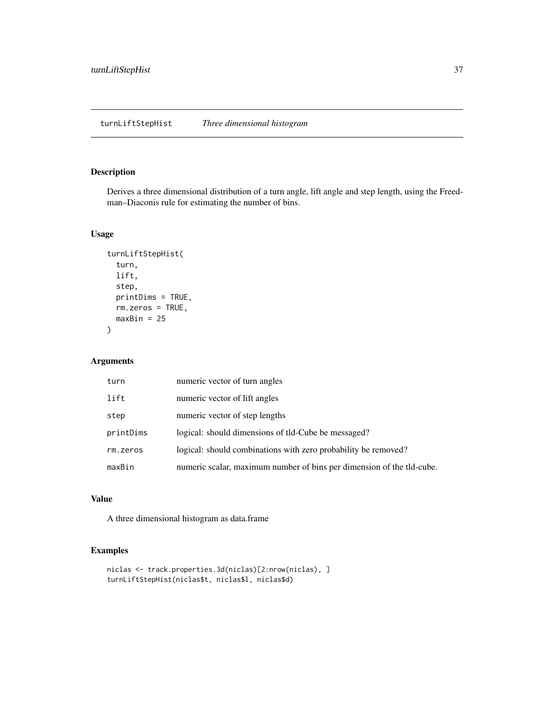<span id="page-36-1"></span><span id="page-36-0"></span>Derives a three dimensional distribution of a turn angle, lift angle and step length, using the Freedman–Diaconis rule for estimating the number of bins.

#### Usage

```
turnLiftStepHist(
  turn,
 lift,
  step,
 printDims = TRUE,
 rm.zeros = TRUE,
 maxBin = 25)
```
Arguments

| turn      | numeric vector of turn angles                                         |
|-----------|-----------------------------------------------------------------------|
| lift      | numeric vector of lift angles                                         |
| step      | numeric vector of step lengths                                        |
| printDims | logical: should dimensions of the Cube be messaged?                   |
| rm.zeros  | logical: should combinations with zero probability be removed?        |
| maxBin    | numeric scalar, maximum number of bins per dimension of the tld-cube. |

## Value

A three dimensional histogram as data.frame

# Examples

```
niclas <- track.properties.3d(niclas)[2:nrow(niclas), ]
turnLiftStepHist(niclas$t, niclas$l, niclas$d)
```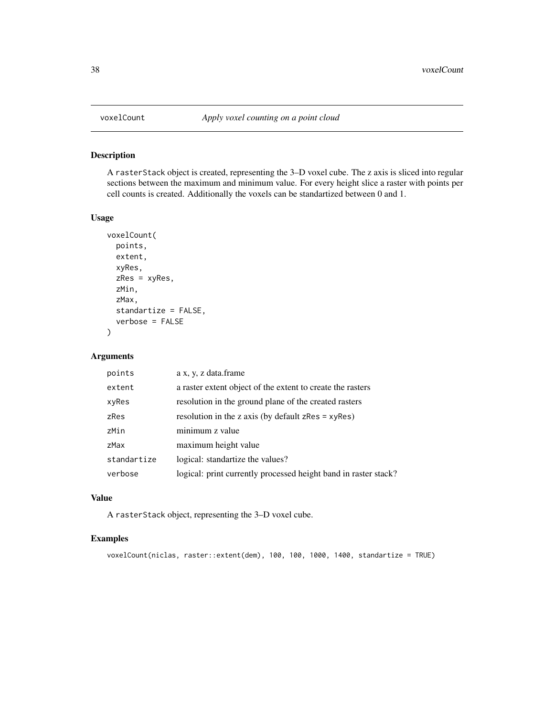A rasterStack object is created, representing the 3–D voxel cube. The z axis is sliced into regular sections between the maximum and minimum value. For every height slice a raster with points per cell counts is created. Additionally the voxels can be standartized between 0 and 1.

# Usage

```
voxelCount(
  points,
  extent,
  xyRes,
  zRes = xyRes,
  zMin,
  zMax,
  standartize = FALSE,
  verbose = FALSE
\lambda
```
# Arguments

| points      | a x, y, z data.frame                                            |
|-------------|-----------------------------------------------------------------|
| extent      | a raster extent object of the extent to create the rasters      |
| xyRes       | resolution in the ground plane of the created rasters           |
| zRes        | resolution in the z axis (by default $zRes = xyRes$ )           |
| zMin        | minimum z value                                                 |
| zMax        | maximum height value                                            |
| standartize | logical: standartize the values?                                |
| verbose     | logical: print currently processed height band in raster stack? |

# Value

A rasterStack object, representing the 3–D voxel cube.

#### Examples

```
voxelCount(niclas, raster::extent(dem), 100, 100, 1000, 1400, standartize = TRUE)
```